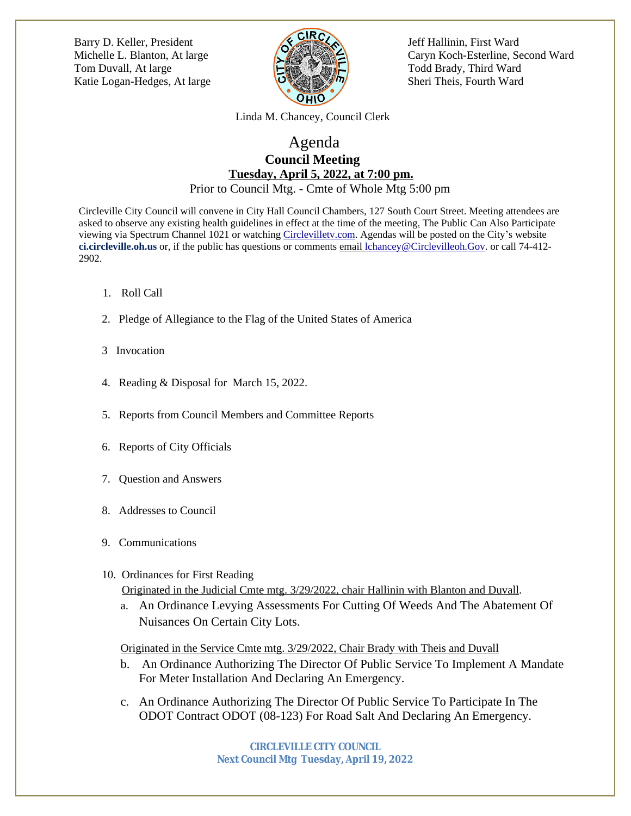[Barry D. Keller, President Jeff Hallinin, First Ward](http://jrliston.wix.com/chartercommision) Tom Duvall, At large **Tom Todd Brady**, Third Ward Katie Logan-Hedges, At large  $\bigcup_{\alpha} \bigotimes_{\alpha} \bigotimes_{\beta} \bigotimes_{\beta} \bigwedge$  Sheri Theis, Fourth Ward



Michelle L. Blanton, At large **Caryn Caryn Caryn Koch-Esterline**, Second Ward

 [Linda M. Chancey, Council Clerk](http://jrliston.wix.com/chartercommision)

## [Agenda](http://jrliston.wix.com/chartercommision)  **[Council Meeting](http://jrliston.wix.com/chartercommision)  [Tuesday, April 5, 2022, at 7:00 pm.](http://jrliston.wix.com/chartercommision)** [Prior to Council Mtg. - Cmte of Whole Mtg 5:00 pm](http://jrliston.wix.com/chartercommision)

[Circleville City Council will convene in City Hall Council Chambers, 127 South Court Street. Meeting attendees are](http://jrliston.wix.com/chartercommision)  [asked to observe any existing health guidelines in effect at the time of the meeting. The Public Can Also Participate](http://jrliston.wix.com/chartercommision)  [viewing via Spectrum Channel 1021 or watching](http://jrliston.wix.com/chartercommision) [Circlevilletv.com.](mailto:Circleville@viebit.com) Agendas will be posted on the City's website **ci.circleville.oh.us** or, if the public has questions or comments email lchancey@Circlevilleoh.Gov. or call 74-412- 2902.

- 1. Roll Call
- 2. Pledge of Allegiance to the Flag of the United States of America
- 3 Invocation
- 4. Reading & Disposal for March 15, 2022.
- 5. Reports from Council Members and Committee Reports
- 6. Reports of City Officials
- 7. Question and Answers
- 8. Addresses to Council
- 9. Communications
- 10. Ordinances for First Reading Originated in the Judicial Cmte mtg. 3/29/2022, chair Hallinin with Blanton and Duvall.
	- a. An Ordinance Levying Assessments For Cutting Of Weeds And The Abatement Of Nuisances On Certain City Lots.

Originated in the Service Cmte mtg. 3/29/2022, Chair Brady with Theis and Duvall

- b. An Ordinance Authorizing The Director Of Public Service To Implement A Mandate For Meter Installation And Declaring An Emergency.
- c. An Ordinance Authorizing The Director Of Public Service To Participate In The ODOT Contract ODOT (08-123) For Road Salt And Declaring An Emergency.

**CIRCLEVILLE CITY COUNCIL Next Council Mtg Tuesday, April 19, 2022**